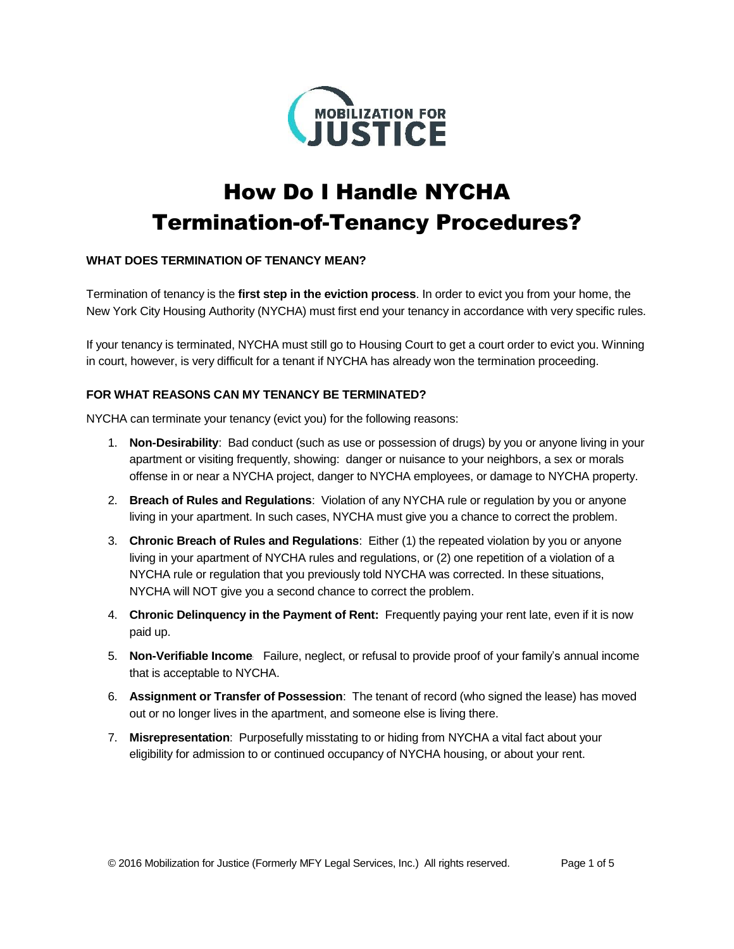

# How Do I Handle NYCHA Termination-of-Tenancy Procedures?

# **WHAT DOES TERMINATION OF TENANCY MEAN?**

Termination of tenancy is the **first step in the eviction process**. In order to evict you from your home, the New York City Housing Authority (NYCHA) must first end your tenancy in accordance with very specific rules.

If your tenancy is terminated, NYCHA must still go to Housing Court to get a court order to evict you. Winning in court, however, is very difficult for a tenant if NYCHA has already won the termination proceeding.

# **FOR WHAT REASONS CAN MY TENANCY BE TERMINATED?**

NYCHA can terminate your tenancy (evict you) for the following reasons:

- 1. **Non-Desirability**: Bad conduct (such as use or possession of drugs) by you or anyone living in your apartment or visiting frequently, showing: danger or nuisance to your neighbors, a sex or morals offense in or near a NYCHA project, danger to NYCHA employees, or damage to NYCHA property.
- 2. **Breach of Rules and Regulations**: Violation of any NYCHA rule or regulation by you or anyone living in your apartment. In such cases, NYCHA must give you a chance to correct the problem.
- 3. **Chronic Breach of Rules and Regulations**:Either (1) the repeated violation by you or anyone living in your apartment of NYCHA rules and regulations, or (2) one repetition of a violation of a NYCHA rule or regulation that you previously told NYCHA was corrected. In these situations, NYCHA will NOT give you a second chance to correct the problem.
- 4. **Chronic Delinquency in the Payment of Rent:** Frequently paying your rent late, even if it is now paid up.
- 5. **Non-Verifiable Income**: Failure, neglect, or refusal to provide proof of your family's annual income that is acceptable to NYCHA.
- 6. **Assignment or Transfer of Possession**:The tenant of record (who signed the lease) has moved out or no longer lives in the apartment, and someone else is living there.
- 7. **Misrepresentation**: Purposefully misstating to or hiding from NYCHA a vital fact about your eligibility for admission to or continued occupancy of NYCHA housing, or about your rent.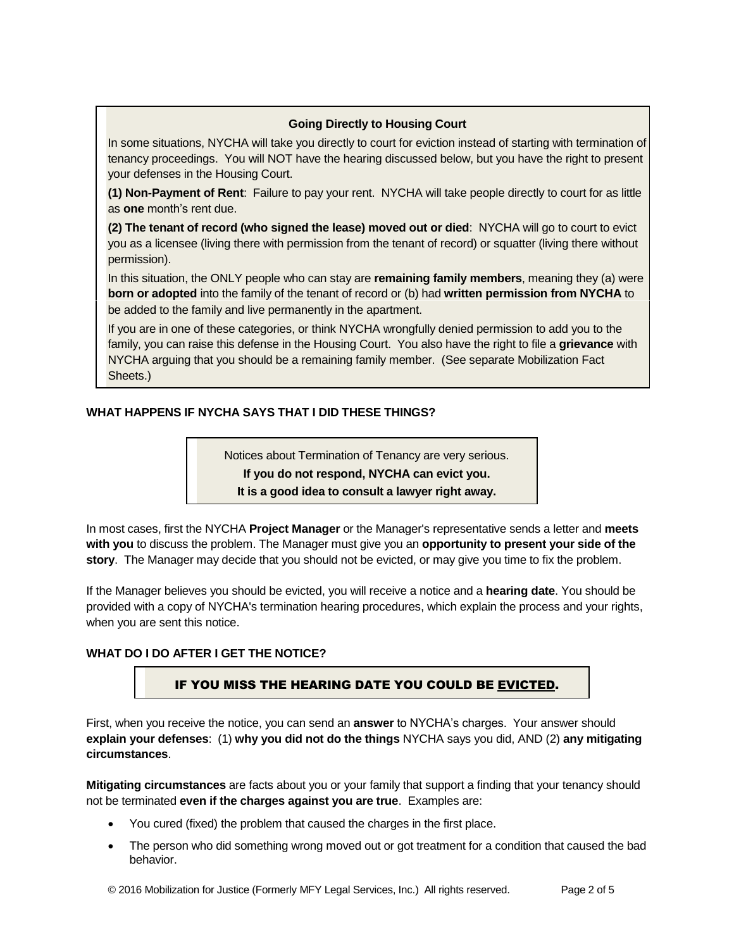### **Going Directly to Housing Court**

In some situations, NYCHA will take you directly to court for eviction instead of starting with termination of tenancy proceedings. You will NOT have the hearing discussed below, but you have the right to present your defenses in the Housing Court.

**(1) Non-Payment of Rent**: Failure to pay your rent. NYCHA will take people directly to court for as little as **one** month's rent due.

**(2) The tenant of record (who signed the lease) moved out or died**: NYCHA will go to court to evict you as a licensee (living there with permission from the tenant of record) or squatter (living there without permission).

In this situation, the ONLY people who can stay are **remaining family members**, meaning they (a) were **born or adopted** into the family of the tenant of record or (b) had **written permission from NYCHA** to be added to the family and live permanently in the apartment.

If you are in one of these categories, or think NYCHA wrongfully denied permission to add you to the family, you can raise this defense in the Housing Court. You also have the right to file a **grievance** with NYCHA arguing that you should be a remaining family member. (See separate Mobilization Fact Sheets.)

# **WHAT HAPPENS IF NYCHA SAYS THAT I DID THESE THINGS?**

Notices about Termination of Tenancy are very serious.

**If you do not respond, NYCHA can evict you.**

**It is a good idea to consult a lawyer right away.**

In most cases, first the NYCHA **Project Manager** or the Manager's representative sends a letter and **meets with you** to discuss the problem. The Manager must give you an **opportunity to present your side of the story**. The Manager may decide that you should not be evicted, or may give you time to fix the problem.

If the Manager believes you should be evicted, you will receive a notice and a **hearing date**. You should be provided with a copy of NYCHA's termination hearing procedures, which explain the process and your rights, when you are sent this notice.

#### **WHAT DO I DO AFTER I GET THE NOTICE?**

# IF YOU MISS THE HEARING DATE YOU COULD BE EVICTED.

First, when you receive the notice, you can send an **answer** to NYCHA's charges. Your answer should **explain your defenses**: (1) **why you did not do the things** NYCHA says you did, AND (2) **any mitigating circumstances**.

**Mitigating circumstances** are facts about you or your family that support a finding that your tenancy should not be terminated **even if the charges against you are true**. Examples are:

- You cured (fixed) the problem that caused the charges in the first place.
- The person who did something wrong moved out or got treatment for a condition that caused the bad behavior.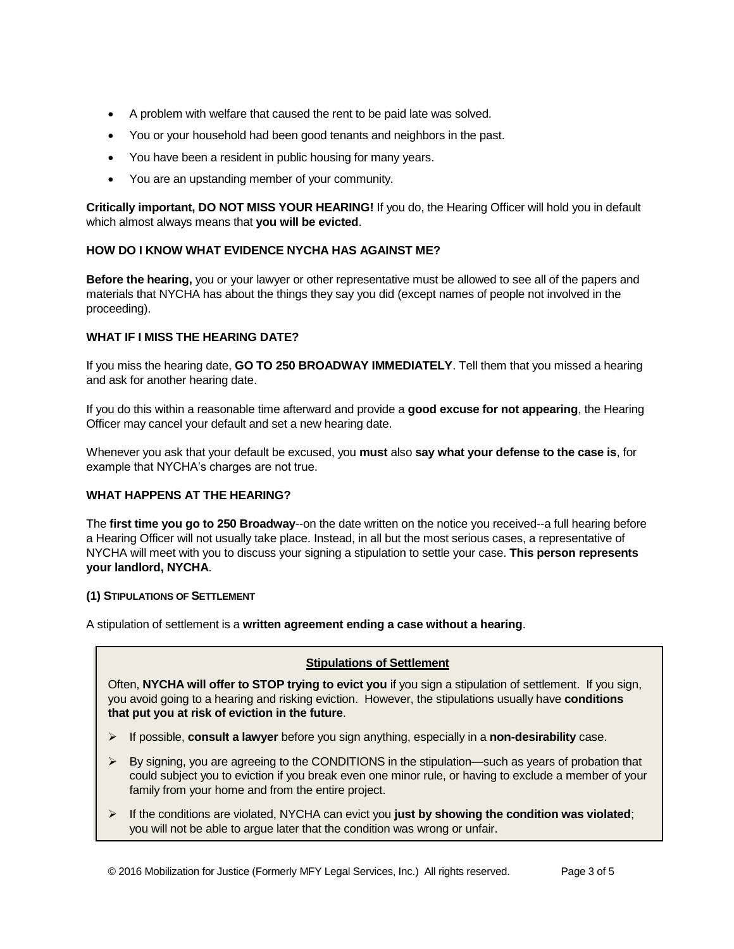- A problem with welfare that caused the rent to be paid late was solved.
- You or your household had been good tenants and neighbors in the past.
- You have been a resident in public housing for many years.
- You are an upstanding member of your community.

**Critically important, DO NOT MISS YOUR HEARING!** If you do, the Hearing Officer will hold you in default which almost always means that **you will be evicted**.

# **HOW DO I KNOW WHAT EVIDENCE NYCHA HAS AGAINST ME?**

**Before the hearing,** you or your lawyer or other representative must be allowed to see all of the papers and materials that NYCHA has about the things they say you did (except names of people not involved in the proceeding).

# **WHAT IF I MISS THE HEARING DATE?**

If you miss the hearing date, **GO TO 250 BROADWAY IMMEDIATELY**. Tell them that you missed a hearing and ask for another hearing date.

If you do this within a reasonable time afterward and provide a **good excuse for not appearing**, the Hearing Officer may cancel your default and set a new hearing date.

Whenever you ask that your default be excused, you **must** also **say what your defense to the case is**, for example that NYCHA's charges are not true.

#### **WHAT HAPPENS AT THE HEARING?**

The **first time you go to 250 Broadway**--on the date written on the notice you received--a full hearing before a Hearing Officer will not usually take place. Instead, in all but the most serious cases, a representative of NYCHA will meet with you to discuss your signing a stipulation to settle your case. **This person represents your landlord, NYCHA**.

#### **(1) STIPULATIONS OF SETTLEMENT**

A stipulation of settlement is a **written agreement ending a case without a hearing**.

#### **Stipulations of Settlement**

Often, **NYCHA will offer to STOP trying to evict you** if you sign a stipulation of settlement. If you sign, you avoid going to a hearing and risking eviction. However, the stipulations usually have **conditions that put you at risk of eviction in the future**.

- If possible, **consult a lawyer** before you sign anything, especially in a **non-desirability** case.
- $\triangleright$  By signing, you are agreeing to the CONDITIONS in the stipulation—such as years of probation that could subject you to eviction if you break even one minor rule, or having to exclude a member of your family from your home and from the entire project.
- $\triangleright$  If the conditions are violated, NYCHA can evict you **just by showing the condition was violated**; you will not be able to argue later that the condition was wrong or unfair.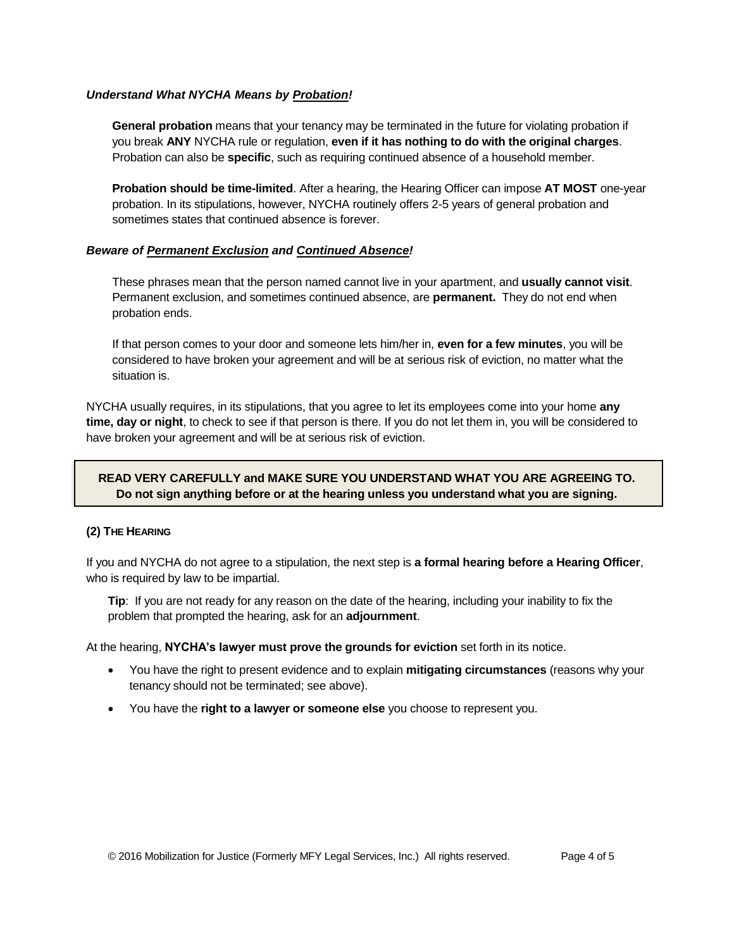#### *Understand What NYCHA Means by Probation!*

**General probation** means that your tenancy may be terminated in the future for violating probation if you break **ANY** NYCHA rule or regulation, **even if it has nothing to do with the original charges**. Probation can also be **specific**, such as requiring continued absence of a household member.

**Probation should be time-limited**. After a hearing, the Hearing Officer can impose **AT MOST** one-year probation. In its stipulations, however, NYCHA routinely offers 2-5 years of general probation and sometimes states that continued absence is forever.

#### *Beware of Permanent Exclusion and Continued Absence!*

These phrases mean that the person named cannot live in your apartment, and **usually cannot visit**. Permanent exclusion, and sometimes continued absence, are **permanent.** They do not end when probation ends.

If that person comes to your door and someone lets him/her in, **even for a few minutes**, you will be considered to have broken your agreement and will be at serious risk of eviction, no matter what the situation is.

NYCHA usually requires, in its stipulations, that you agree to let its employees come into your home **any time, day or night**, to check to see if that person is there. If you do not let them in, you will be considered to have broken your agreement and will be at serious risk of eviction.

# **READ VERY CAREFULLY and MAKE SURE YOU UNDERSTAND WHAT YOU ARE AGREEING TO. Do not sign anything before or at the hearing unless you understand what you are signing.**

#### **(2) THE HEARING**

If you and NYCHA do not agree to a stipulation, the next step is **a formal hearing before a Hearing Officer**, who is required by law to be impartial.

**Tip**: If you are not ready for any reason on the date of the hearing, including your inability to fix the problem that prompted the hearing, ask for an **adjournment**.

At the hearing, **NYCHA's lawyer must prove the grounds for eviction** set forth in its notice.

- You have the right to present evidence and to explain **mitigating circumstances** (reasons why your tenancy should not be terminated; see above).
- You have the **right to a lawyer or someone else** you choose to represent you.